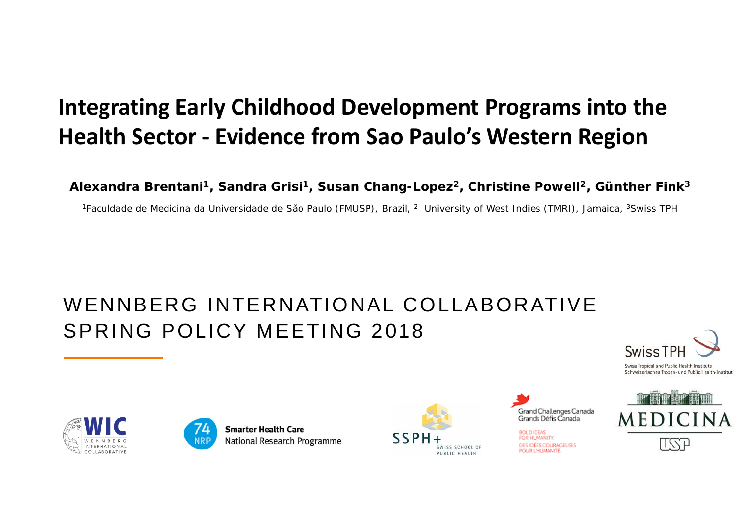### **Integrating Early Childhood Development Programs into the Health Sector ‐ Evidence from Sao Paulo's Western Region**

**Alexandra Brentani1, Sandra Grisi1, Susan Chang-Lopez 2, Christine Powell 2, Günther Fink 3**

<sup>1</sup>Faculdade de Medicina da Universidade de São Paulo (FMUSP), Brazil, <sup>2</sup> University of West Indies (TMRI), Jamaica, <sup>3</sup>Swiss TPH

### WENNBERG INTERNATIONAL COLLABORATIVESPRING POLICY MEETING 2018





**Smarter Health Care National Research Programme** 





**SOLD IDEAS** FOR HUMANITY. **DES IDÉES COURAGEUSES POLIR L'HLIMANITÉ** 



Swiss Tropical and Public Health Institute Schweizerisches Tropen- und Public Health-Institut



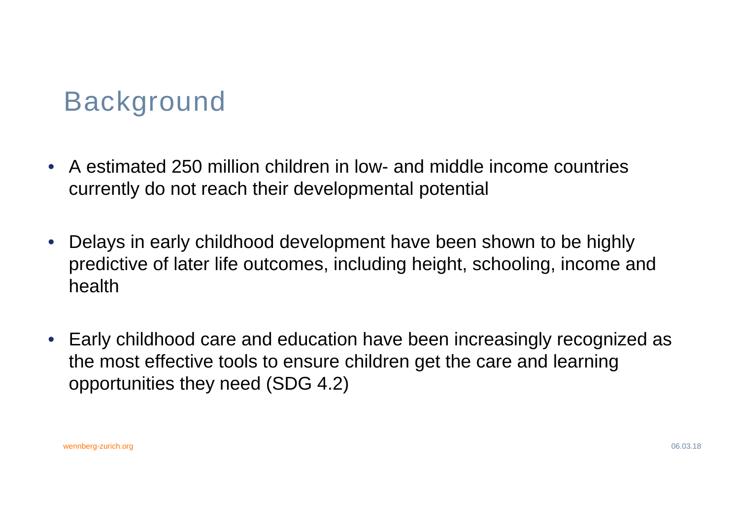## Background

- A estimated 250 million children in low- and middle income countries currently do not reach their developmental potential
- $\bullet$  Delays in early childhood development have been shown to be highly predictive of later life outcomes, including height, schooling, income and health
- Early childhood care and education have been increasingly recognized as the most effective tools to ensure children get the care and learning opportunities they need (SDG 4.2)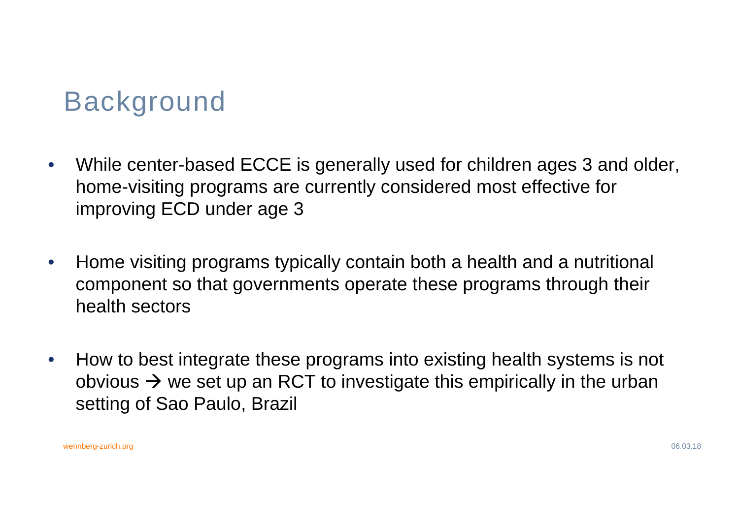## Background

- $\bullet$  While center-based ECCE is generally used for children ages 3 and older, home-visiting programs are currently considered most effective for improving ECD under age 3
- • Home visiting programs typically contain both a health and a nutritional component so that governments operate these programs through their health sectors
- • How to best integrate these programs into existing health systems is not obvious  $\rightarrow$  we set up an RCT to investigate this empirically in the urban setting of Sao Paulo, Brazil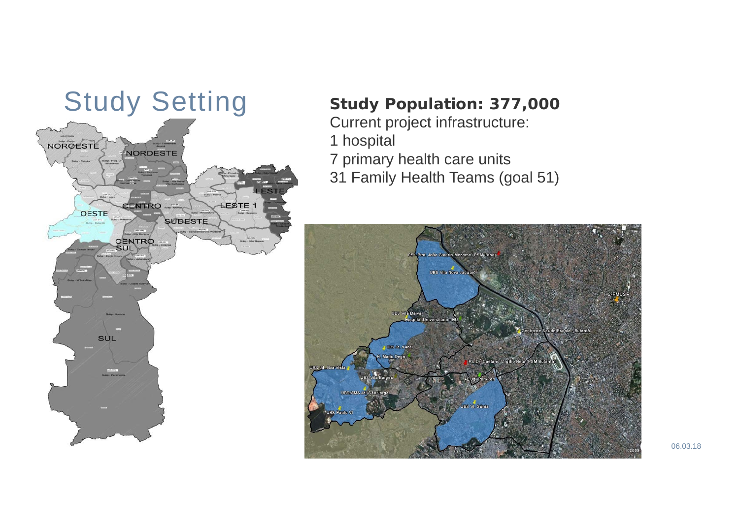

- 
- 1 hospital
- 7 primary health care units
- 31 Family Health Teams (goal 51)

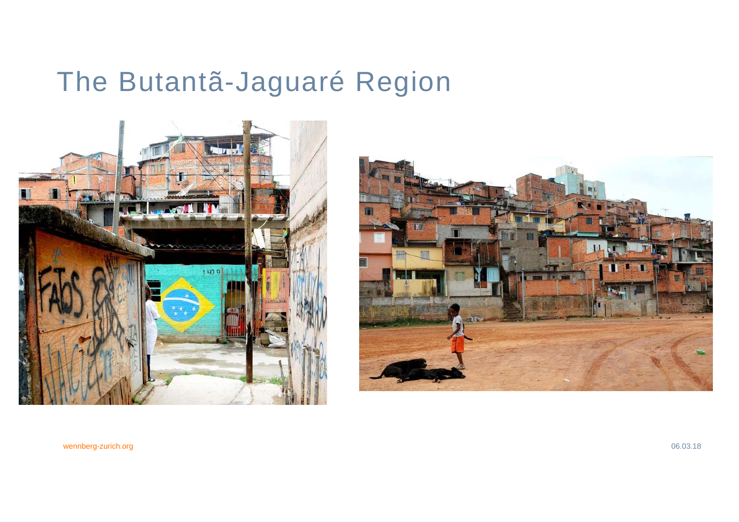# The Butantã-Jaguaré Region



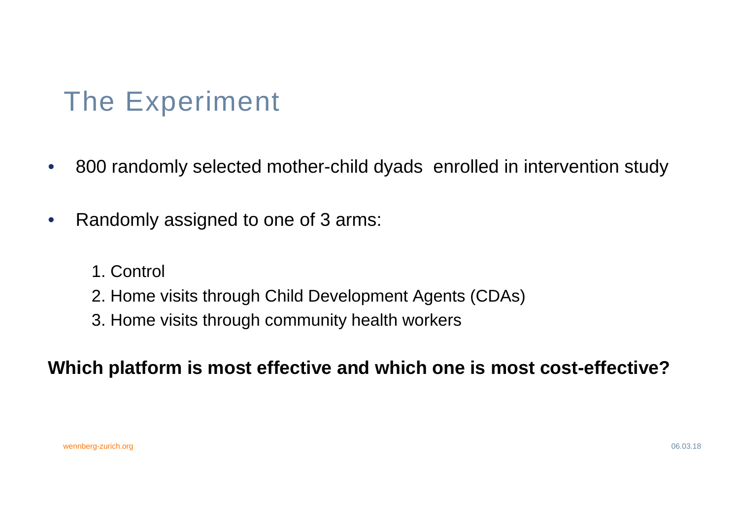# The Experiment

- $\bullet$ 800 randomly selected mother-child dyads enrolled in intervention study
- $\bullet$  Randomly assigned to one of 3 arms:
	- 1. Control
	- 2. Home visits through Child Development Agents (CDAs)
	- 3. Home visits through community health workers

### **Which platform is most effective and which one is most cost-effective?**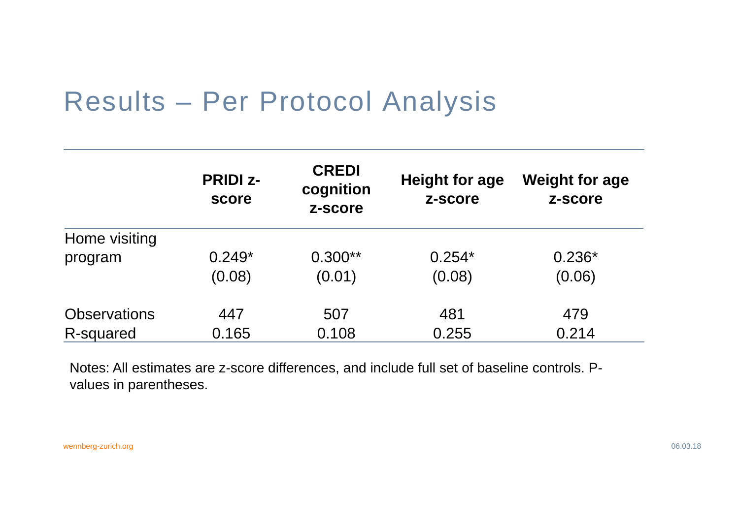### Results – Per Protocol Analysis

|                     | <b>PRIDI z-</b><br>score | <b>CREDI</b><br>cognition<br>z-score | Height for age<br>z-score | <b>Weight for age</b><br>z-score |
|---------------------|--------------------------|--------------------------------------|---------------------------|----------------------------------|
| Home visiting       |                          |                                      |                           |                                  |
| program             | $0.249*$                 | $0.300**$                            | $0.254*$                  | $0.236*$                         |
|                     | (0.08)                   | (0.01)                               | (0.08)                    | (0.06)                           |
| <b>Observations</b> | 447                      | 507                                  | 481                       | 479                              |
| R-squared           | 0.165                    | 0.108                                | 0.255                     | 0.214                            |

Notes: All estimates are z-score differences, and include full set of baseline controls. Pvalues in parentheses.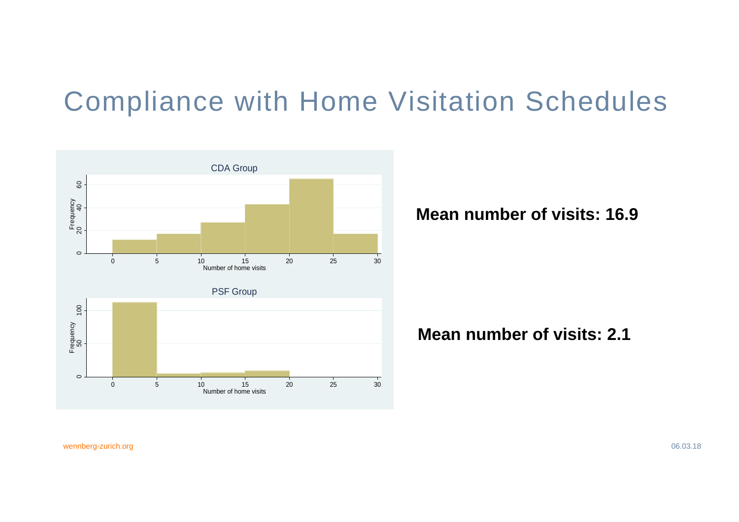### Compliance with Home Visitation Schedules



**Mean number of visits: 16.9**

#### **Mean number of visits: 2.1**

wennberg-zurich.org 06.03.18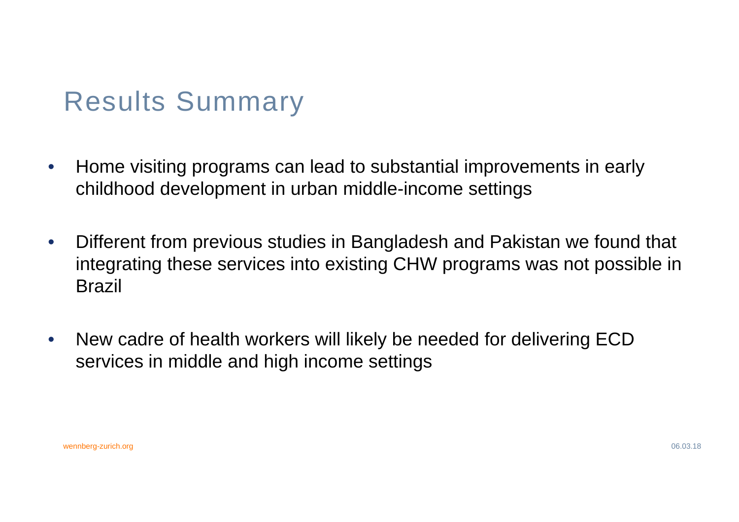## Results Summary

- $\bullet$  Home visiting programs can lead to substantial improvements in early childhood development in urban middle-income settings
- $\bullet$  Different from previous studies in Bangladesh and Pakistan we found that integrating these services into existing CHW programs was not possible in Brazil
- $\bullet$  New cadre of health workers will likely be needed for delivering ECD services in middle and high income settings